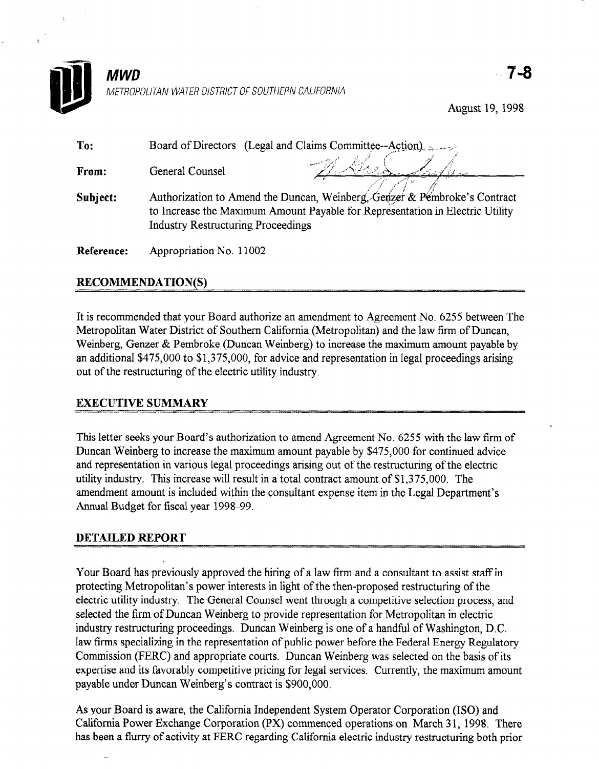

MWD 9-8 METROPOLITAN WATER DISTRICT OF SOUTHERN CALIFORNIA

August 19, 1998

| To:        | Board of Directors (Legal and Claims Committee--Action)                                                                                                                                                 |  |  |
|------------|---------------------------------------------------------------------------------------------------------------------------------------------------------------------------------------------------------|--|--|
| From:      | General Counsel                                                                                                                                                                                         |  |  |
| Subject:   | Authorization to Amend the Duncan, Weinberg, Genzer & Pembroke's Contract<br>to Increase the Maximum Amount Payable for Representation in Electric Utility<br><b>Industry Restructuring Proceedings</b> |  |  |
| Reference: | Appropriation No. 11002                                                                                                                                                                                 |  |  |

## RECOMMENDATION(S)

It is recommended that your Board authorize an amendment to Agreement No. 6255 between The Metropolitan Water District of Southern California (Metropolitan) and the law firm of Duncan, Weinberg, Genzer & Pembroke (Duncan Weinberg) to increase the maximum amount payable by an additional \$475,000 to \$1,375,000, for advice and representation in legal proceedings arising out of the restructuring of the electric utility industry.

## EXECUTIVE SUMMARY

This letter seeks your Board's authorization to amend Agreement No. 6255 with the law firm of Duncan Weinberg to increase the maximum amount payable by \$475,000 for continued advice and representation in various legal proceedings arising out of the restructuring of the electric utility industry. This increase will result in a total contract amount of \$1,375,000. The amendment amount is included within the consultant expense item in the Legal Department's Annual Budget for fiscal year 1998-99.

## DETAILED REPORT

Your Board has previously approved the hiring of a law firm and a consultant to assist staff in protecting Metropolitan's power interests in light of the then-proposed restructuring of the electric utility industry. The General Counsel went through a competitive selection process, and selected the firm of Duncan Weinberg to provide representation for Metropolitan in electric industry restructuring proceedings. Duncan Weinberg is one of a handful of Washington, D.C. law firms specializing in the representation of public power before the Federal Energy Regulatory Commission (FERC) and appropriate courts. Duncan Weinberg was selected on the basis of its expertise and its favorably competitive pricing for legal services. Currently, the maximum amount payable under Duncan Weinberg's contract is \$900,000.

As your Board is aware, the California Independent System Operator Corporation (ISO) and California Power is aware, the california maephiscin System Operator Corporation (1999) and  $\frac{1}{100}$  and  $\frac{1}{200}$  regarding corporation  $\frac{1}{100}$  regarding of  $\frac{1}{200}$  regarding both prior prior  $\frac{1}{200}$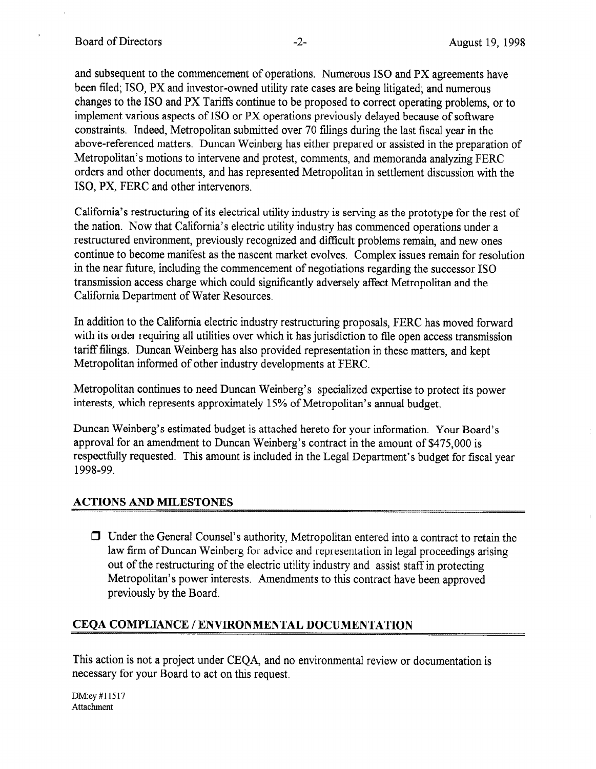and subsequent to the commencement of operations. Numerous IS0 and PX agreements have been filed; ISO, PX and investor-owned utility rate cases are being litigated; and numerous changes to the IS0 and PX Tariffs continue to be proposed to correct operating problems, or to implement various aspects of IS0 or PX operations previously delayed because of software constraints. Indeed, Metropolitan submitted over 70 filings during the last fiscal year in the above-referenced matters. Duncan Weinberg has either prepared or assisted in the preparation of Metropolitan's motions to intervene and protest, comments, and memoranda analyzing FERC orders and other documents, and has represented Metropolitan in settlement discussion with the ISO, PX, FERC and other intervenors.

California's restructuring of its electrical utility industry is serving as the prototype for the rest of the nation. Now that California's electric utility industry has commenced operations under a restructured environment, previously recognized and difficult problems remain, and new ones continue to become manifest as the nascent market evolves. Complex issues remain for resolution in the near future, including the commencement of negotiations regarding the successor IS0 transmission access charge which could significantly adversely affect Metropolitan and the California Department of Water Resources.

In addition to the California electric industry restructuring proposals, FERC has moved forward with its order requiring all utilities over which it has jurisdiction to file open access transmission tariff filings. Duncan Weinberg has also provided representation in these matters, and kept Metropolitan informed of other industry developments at FERC.

Metropolitan continues to need Duncan Weinberg's specialized expertise to protect its power interests, which represents approximately 15% of Metropolitan's annual budget.

Duncan Weinberg's estimated budget is attached hereto for your information. Your Board's approval for an amendment to Duncan Weinberg's contract in the amount of \$475,000 is respectfully requested. This amount is included in the Legal Department's budget for fiscal year 1998-99.

# ACTIONS AND MILESTONES

 $\Box$  Under the General Counsel's authority, Metropolitan entered into a contract to retain the law firm of Duncan Weinberg for advice and representation in legal proceedings arising out of the restructuring of the electric utility industry and assist staff in protecting Metropolitan's power interests. Amendments to this contract have been approved previously by the Board.

# CEQA COMPLIANCE / ENVIRONMENTAL DOCUMENTATION

This action is not a project under CEQA, and no environmental review or documentation is necessary for your Board to act on this request.

DM:ey#11517  $\frac{1}{\sqrt{1-\frac{1}{2}}}$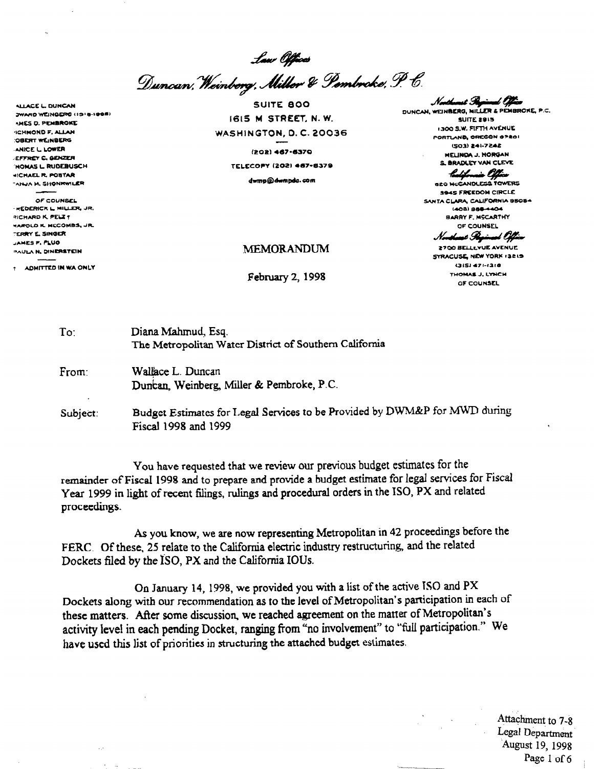Law Offices Duncan, Weinberg, Miller & Pembroke, P. C.

**ALLACE L. DUNCAN 2WARD WEINBERG (1918-1995) AMES D. PEMBROKE SCHMOND F. ALLAN OBERT WEINBERG** ANICE L LOWER **EFFREY C. GENZER HOMAS L RUDEBUSCH HICHAEL R. POSTAR** "ANJA M. SHONKWILER

OF COUNSEL WEDERICK L. MILLER, JR. ~ItnAFaD Ic PLU, HAROLD K. HECOMBS, JR. -ERRy E. SINQCR JAMES F. PLUO "AULA N. DINERSTEIN

: ADMITTED IN WA ONLY

SUITE 800 1615 M STREET, N. . . . surre LOIS WASHINGTON, D. C. 20036 - (202) 467-6370

dwmp@dwmpda.com

MEMORANDUM

Northwest Regiment Office DUNCAN, WEINBERG, MILLER & PENBROKE, P.C.

PORTLAND, OREGON @7201 (503) S4-7E4Z **MELINDA J. NORGAN<br>S. BRADLEY VAN CLEVE** 

TELECOPY (202) 487-8379 S. BRADLEY VAN CLEV<br>Contains and the containing of the containing of the containing of the containing of the containing of the containing of the containing of the containing of the containing of the **620 MCCANDLESS TOWERS 3945 FREEDOM CIRCLE** SANTA CLARA, CALIFORNIA 95054 (408) 988-4404 **BARRY F. MSCARTHY** OF COUNSEL

Northuse Regional Office 2700 BELLEVUE AVENUE SYRACUSE, NEW YORK 13219 (315) 471-1318 February 2, 1998 Of COUNSEL

| - To:    | Diana Mahmud, Esq.<br>The Metropolitan Water District of Southern California                       |
|----------|----------------------------------------------------------------------------------------------------|
| From:    | Wallace L. Duncan<br>Duncan, Weinberg, Miller & Pembroke, P.C.                                     |
| Subject: | Budget Estimates for Legal Services to be Provided by DWM&P for MWD during<br>Fiscal 1998 and 1999 |

TO: Diana Mahmud, Esq.

You have requested that we review our previous budget estimates for the remainder of Fiscal 1998 and to prepare and provide a budget estimate for legal services for Fiscal Year 1999 in light of recent filings, rulings and procedural orders in the ISO, PX and related proceedings.

As you know, we are now representing Metropolitan in 42 proceedings before the FERC. Of these, 25 relate to the California electric industry restructuring, and the related Dockets filed by the ISO, PX and the California IOUs.

On January 14, 1998, we provided you with a list of the active IS0 and PX Dockets along with our recommendation as to the level of Metropolitan's participation in each of these matters. After some discussion, we reached agreement on the matter of Metropolitan's activity level in each pending Docket, ranging from "no involvement" to "full participation." We have used this list of priorities in structuring the attached budget estimates.

> Attachment to 7-8 Legal Department 'August 19, 1998  $\frac{1}{2}$ . Page 1 of 6 Page 1 of 6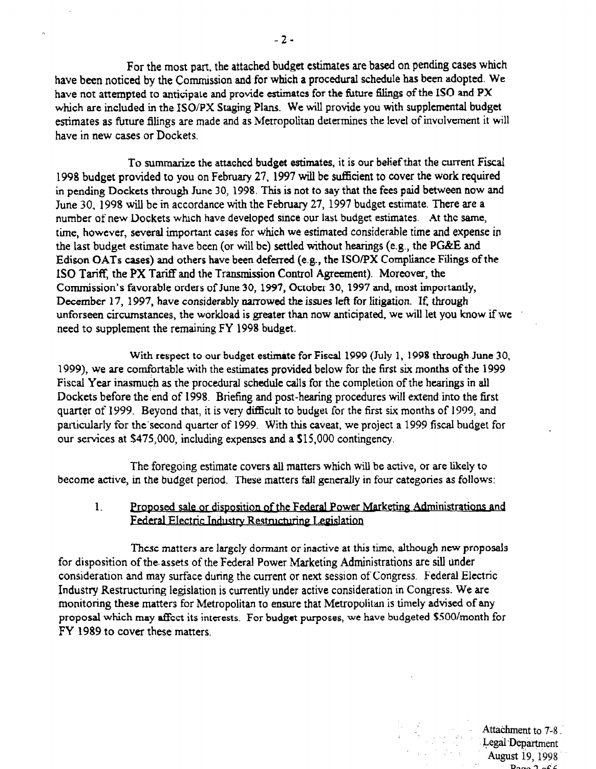For the most part, the attached budget estimates are based on pending cases which have been noticed by the Commission and for which a procedural schedule has been adopted. We have not attempted to anticipate and provide estimates for the future filings of the ISO and PX which are included in the ISO/PX Staging Plans. We will provide you with supplemental budget estimates as titure filings are made and as Metropolitan determines the level of involvement it will have in new cases or Dockets.

To summarize the attached budget estimates, it is our belief that the current Fiscal 1998 budget provided to you on February 27, 1997 will be suflicient to cover the work required in pending Dockets through June 30,1998. This is not to say that the fees paid between now and June 30, 1998 will be in accordance with the February 27, 1997 budget estimate. There are a number of new Dockets which have developed since our last budget estimates. At the same, time, however, several important cases for which we estimated considerable time and expense in the last budget estimate have been (or will be) settled without hearings (e.g., the PG&E and Edison OATs cases) and others have been deferred (e.g., the ISO/PX Compliance Filings of the IS0 Tariff, the PX Tariff and the Transmission Control Agreement). Moreover, the Commission's favorable orders of June 30, 1997, October 30, 1997 and, most importantly, December 17, 1997, have considerably narrowed the issues left for litigation. If, through unforseen circumstances, the workload is greater than now anticipated. we will let you know if we need to supplement the remaining FY 1998 budget.

With respect to our budget estimate for Fiscal 1999 (July 1, 1998 through June 30,  $\frac{1998}{1000}$ , which testimates provided below for the first six months of the 1999  $F_{\rm F}$  is the arc completedule with the estimated provided before for the the schedule calls  $\sim$ Docket strain and the end of 1998. Briefing and post-hearing procedure will be completely the first manufacture pockers before the end of 1990. Briefing and post-nearing procedures will extend find the first quarter of 1999. Beyond that, it is very difficult to budget for the first six months of 1999, and particularly for the second quarter of 1999. With this caveat, we project a 1999 fiscal budget for our services at \$475,000, including expenses and a \$15,000 contingency.

 $T$  for going estimate covers all maners which will be active, or are likely to are likely to are likely to a I he foregoing estimate covers all matters which will be active, or all e likely to

1. Proposed sale or\_disDosition 1 wer k \*ngadministrati~ <u>Proposed sale or disposition of the Pederal P</u>

These matters are largely dormant or inactive at this time, although new proposals for disposition of the assets of the Federal Power Marketing Administrations are sill under consideration and may surface during the current or next session of Congress. Federal Electric Industry Restructuring legislation is currently under active consideration in Congress. We are monitoring these matters for Metropolitan to ensure that Metropolitan is timely advised of any proposal which may affect its interests. For budget purposes, we have budgeted \$500/month for FY 1989 to cover these matters

 $\sim$ 

Attachment to 7-8 Legal Department August 19, 1998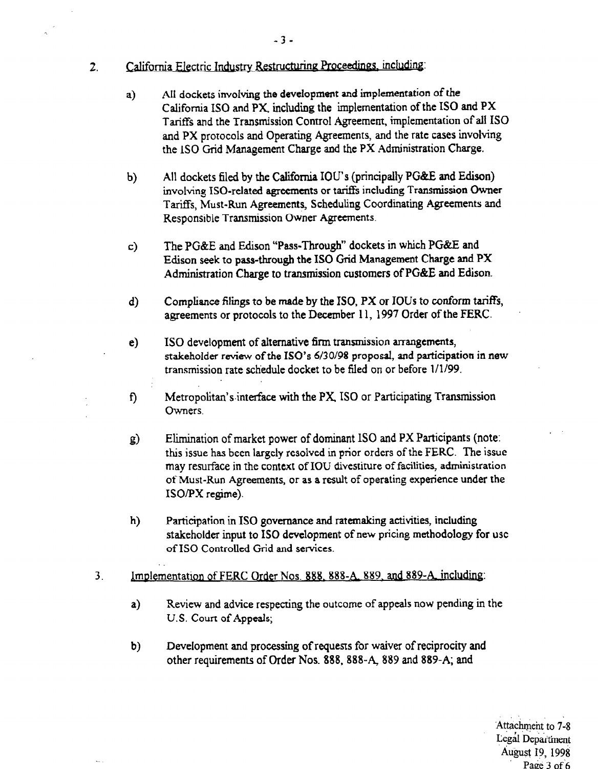- 2. California Electric Industry Restructuring Proceedings, including:
	- a) AI1 dockets involving the development and implementation of the California IS0 and PX, including the implementation of the IS0 and PX Tariffs and the Transmission Control Agreement, implementation of alI IS0 and PX protocols and Operating Agreements, and the rate cases involving the IS0 Grid Management Charge and the PX Administration Charge.
	- $\mathbf{b}$ All dockets filed by the California IOU's (principally PG&E and Edison) involving ISO-related agreements or tariffs including Transmission Owner Tariffs, Must-Run Agreements, Scheduling Coordinating Agreements and Responsible Transmission Owner Agreements.
	- The PG&E and Edison "Pass-Through" dockets in which PG&E and c) Edison seek to pass-through the IS0 Grid Management Charge and PX Administration Charge to transmission customers of PG&E and Edison.
	- $\mathbf{d}$ Compliance filings to be made by the ISO, PX or IOUs to conform tariffs, agreements or protocols to the December 11, 1997 Order of the FERC.
	- $e)$ IS0 development of alternative firm transmission arrangements, stakeholder review of the ISO's 6/30/98 proposal, and participation in new transmission rate scliedule docket to be filed on or before l/1/99.
	- $f$ Metropolitan'sinterface with the PX, IS0 or Participating Transmission hers.
	- $g$  $\mathbb{R}^n$  in and  $\mathbb{R}^n$  of  $\mathbb{R}^n$  and  $\mathbb{R}^n$   $\mathbb{R}^n$   $\mathbb{R}^n$   $\mathbb{R}^n$  and  $\mathbb{R}^n$  and  $\mathbb{R}^n$  and  $\mathbb{R}^n$  and  $\mathbb{R}^n$  and  $\mathbb{R}^n$  and  $\mathbb{R}^n$  and  $\mathbb{R}^n$  and  $\mathbb{R}^n$  and  $\mathbb{R$ Eumination of market power of dominant 150 and  $\mathbf{r}$   $\mathbf{r}$  ratio pairs (note. this issue has been largely resolved in prior orders of the FERC. The issue may resurface in the context of IOU divestiture of facilities, administration of Must-Run Agreements, or as a result of operating experience under the ISO/PX regime).
	- h) Participation in ISO governance and ratemaking activities, including stakeholder input to ISO development of new pricing methodology for use of ISO Controlled Grid and services.
- 3. Imdementation of FERC Order Nos. 888. 888-A 889, and 889-A including:  $3<sub>1</sub>$ 
	- $\mathcal{A} = \mathcal{A}$  respecting the outcome of appeals now pending in the outcome of appeals now pending in the outcome of appeals now pending in the outcome of appeals in the outcome of appeals in the outcome of appeals in th Review and advice resp U.S. Court of Appeals;
	- $W$  Development and processing of requests for  $\mathcal{P}_\text{c}$  and  $\mathcal{P}_\text{c}$  and  $\mathcal{P}_\text{c}$  and  $\mathcal{P}_\text{c}$  $b)$ Development and processing of requests for waiver of reciprocity and other requirements of Order Nos. 888, 888-A, 889 and 889-A; and

Attachment to 7-8 Legal Department August 19, 1998 Page 3 of 6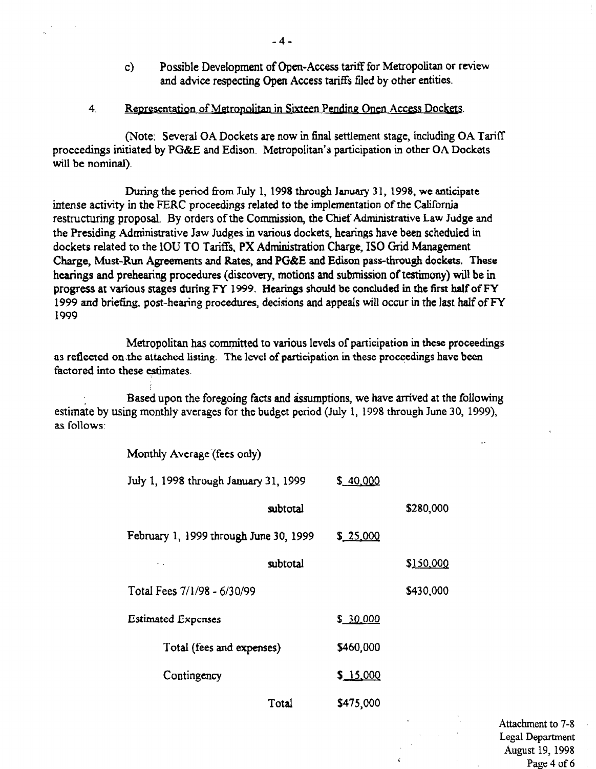- c) Possible Development of Open-Access tariff for Metropolitan or review and advice respecting Open Access tariffs filed by other entities.
- 4. Representation of Metropolitan in Sixteen Pending Open Access Dockets.

(Note: Several OA Dockets are now in final settlement stage, including OA Tariff proceedings initiated by PG&E and Edison. Metropolitan's participation in other OA Dockets will be nominal).

During the period from July 1, 1998 through January 31, 1998, we anticipate intense activity in the FERC proceedings related to the implementarion of rhe Califcrnia restructuring proposal, By orders of the Commission, the Chief Administrative Law Judge and the Presiding Administrative Jaw Judges in various dockets, hearings have been scheduled in dockets related to the IOU TO Tariffs, PX Administration Charge, ISO Grid Management Charge, Must-Run Agreements and Rates, and PG&E and Edison pass-through dockets. These hearings and prehearing procedures (discovery, motions and submission of testimony) will be in progress at various stages during Fy 1999. Hearings should be concluded in the first half of FY 1999 and briefing, post-hearing procedures, decisions and appeals will occur in the last half of FY 1999

Metropolitan has committed to various levels of participation in these proceedings as reflected on.the attached listing. The level of participation in these proceedings have been factored into these estimates.

 $B_{\rm eff}$  , we have an original tisumptions, we have at the following at the following at the following at the following at the following at the following at the following at the following at the following at the following estimate by using monographic monographic monographic monographic period (July 1, 1908),  $\mu$ estimate by using monthly averages for the budget period (July 1, 1998 through June 30, 1999), as follows:

Monthly Average (fees only)

| July 1, 1998 through January 31, 1999  | \$_40,000 |           |           |
|----------------------------------------|-----------|-----------|-----------|
|                                        | subtotal  |           | \$280,000 |
| February 1, 1999 through June 30, 1999 | \$25,000  |           |           |
| ٠.                                     | subtotal  |           | \$150,000 |
| Total Fees 7/1/98 - 6/30/99            |           | \$430,000 |           |
| <b>Estimated Expenses</b>              | \$ 30,000 |           |           |
| Total (fees and expenses)              |           | \$460,000 |           |
| Contingency                            |           | \$15,000  |           |
|                                        | Total     | \$475,000 |           |
|                                        |           |           |           |

Attachment to 7-8 Legal Department August 19, 1998 Page 4 of 6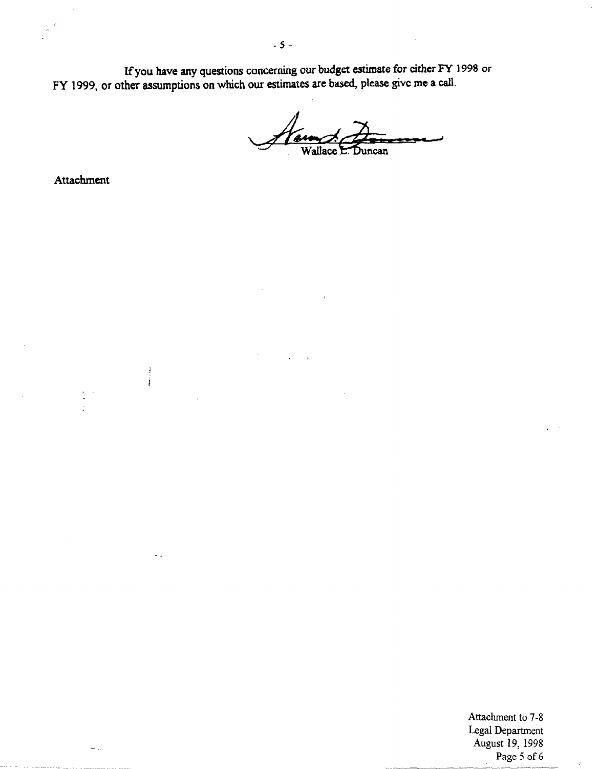If you have any questions concerning our budget estimate for either FY 1998 or FY 1999, or other assumptions on which our estimates are based, please give me a call.

Kem Wallace E Duncan

Attachment

÷

 $\frac{1}{2}$ 

Attachment to 7-8 Legal Department August 19, 1998 Page 5 of 6

 $\epsilon_{\rm c}^{\rm C}$